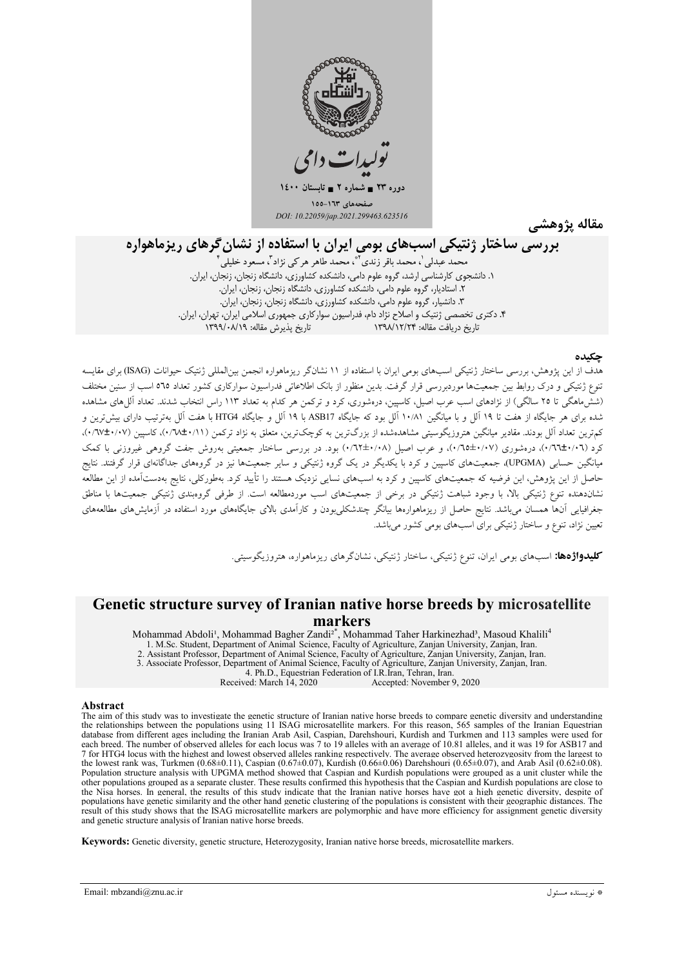

مقاله يژوهشي

# بررسی ساختار ژنتیکی اسبهای بومی ایران با استفاده از نشان گرهای ریزماهواره

محمد عبدلی '، محمد باقر زندی ''ْ، محمد طاهر هر کی نژاد ''، مسعو د خلیلی ' ۴. دکتری تخصصی ژنتیک و اصلاح نژاد دام، فدراسیون سوارکاری جمهوری اسلامی ایران، تهران، ایران. تاریخ دریافت مقاله: ۱۳۹۸/۱۲/۲۴ تاريخ پذيرش مقاله: ١٣٩٩/٠٨/١٩

### حكىدە

.<br>هدف از این یژوهش، بررسی ساختار ژنتیکی اسبهای بومی ایران با استفاده از ۱۱ نشانگر ریزماهواره انجمن بین|لمللی ژنتیک حیوانات (ISAG) برای مقایسه .<br>تنوع ژنتیکی و درک روابط بین جمعیتها موردبررسی قرار گرفت. بدین منظور از بانک اطلاعاتی فدراسیون سوارکاری کشور تعداد ٥٦٥ اسب از سنین مختلف (ششَّ ماهگی تا ۲۵ سالگی) از نژادهای اسب عرب اصیل، کاسپین، درهشوری، کرد و ترکمن هر کدام به تعداد ۱۱۳ راس انتخاب شدند. تعداد آللِ های مشاهده شده برای هر جایگاه از هفت تا ۱۹ آلل و با میانگین ۱۰/۸۱ آلل بود که جایگاه ASB17 با ۱۹ آلل و جایگاه HTG4 با هفت آلل بهترتیب دارای بیش ترین و کمهترین تعداد آلل بودند. مقادیر میانگین هتروزیگوسیتی مشاهدهشده از بزرگترین به کوچکترین، متعلق به نژاد ترکمن (۰/۱۷±۰/۰۷)، کاسپین (۰/۷۷±۰/۰۷)، کرد (۰۲\۰۲\۲)، درهشوری (۰۷\۰+۰۳\۲)، و عرب اصیل (۰/۱+۱+۰۲) بود. در بررسی ساختار جمعیتی بهروش جفت گروهی غیروزنی با کمک میانگین حسابی (UPGMA)، جمعیتهای کاسپین و کرد با یکدیگر در یک گروه ژنتیکی و سایر جمعیتها نیز در گروههای جداگانهای قرار گرفتند. نتایج حاصل از این پژوهش، این فرضیه که جمعیتهای کاسپین و کرد به اسبهای نسایی نزدیک هستند را تأیید کرد. بهطورکلی، نتایج بهدستآمده از این مطالعه نشاندهنده تنوع ژنتیکی بالا، با وجود شباهت ژنتیکی در برخی از جمعیتهای اسب موردمطالعه است. از طرفی گروهبندی ژنتیکی جمعیتها با مناطق جغرافیایی آنها همسان می<sub>ن</sub>اشد. نتایج حاصل از ریزماهوارهها بیانگر چندشکلیبودن و کارآمدی بالای جایگاههای مورد استفاده در آزمایشهای مطالعههای تعیین نژاد، تنوع و ساختار ژنتیکی برای استهای بومی کشور می باشد.

**کلیدواژهها:** اسبهای بومی ایران، تنوع ژنتیکی، ساختار ژنتیکی، نشانگرهای ریزماهواره، هتروزیگوسیتی.

# Genetic structure survey of Iranian native horse breeds by microsatellite markers

Mohammad Abdoli<sup>1</sup>, Mohammad Bagher Zandi<sup>2\*</sup>, Mohammad Taher Harkinezhad<sup>3</sup>, Masoud Khalili<sup>4</sup> 1. M.Sc. Student, Department of Animal Science, Faculty of Agriculture, Zanjan University, Zanjan, Iran. 2. Assistant Professor, Department of Animal Science, Faculty of Agriculture, Zanjan University, Zanjan, Iran. 3. Associate Professor, Department of Animal Science, Faculty of Agriculture, Zanjan University, Zanjan, Iran. 4. Ph.D., Equestrian Federation of I.R. Iran, Tehran, Iran.

Accepted: November 9, 2020 Received: March 14, 2020

#### Abstract

The aim of this study was to investigate the genetic structure of Iranian native horse breeds to compare genetic diversity and understanding the relationships between the populations using 11 ISAG microsatellite markers. For this reason, 565 samples of the Iranian Equestrian database from different ages including the Iranian Arab Asil, Caspian, Darehshouri, Kurdish and Turkmen and 113 samples were used for each breed. The number of observed alleles for each locus was 7 to 19 alleles with an average of 10.81 alleles, and it was 19 for ASB17 and 7 for HTG4 locus with the highest and lowest observed alleles ranking respectively. The average observed heterozygosity from the largest to the lowest rank was, Turkmen (0.68±0.11), Caspian (0.67±0.07), Kurdish (0.66±0.06) Darehshouri (0.65±0.07), and Arab Asil (0.62±0.08). Population structure analysis with UPGMA method showed that Caspian and Kurdish populations were grouped as a unit cluster while the other populations grouped as a separate cluster. These results confirmed this hypothesis that the Caspian and Kurdish populations are close to the Nisa horses. In general, the results of this study indicate that the Iranian native horses have got a high genetic diversity, despite of populations have genetic similarity and the other hand genetic clustering of the populations is consistent with their geographic distances. The result of this study shows that the ISAG microsatellite markers are polymorphic and have more efficiency for assignment genetic diversity and genetic structure analysis of Iranian native horse breeds.

Keywords: Genetic diversity, genetic structure, Heterozygosity, Iranian native horse breeds, microsatellite markers.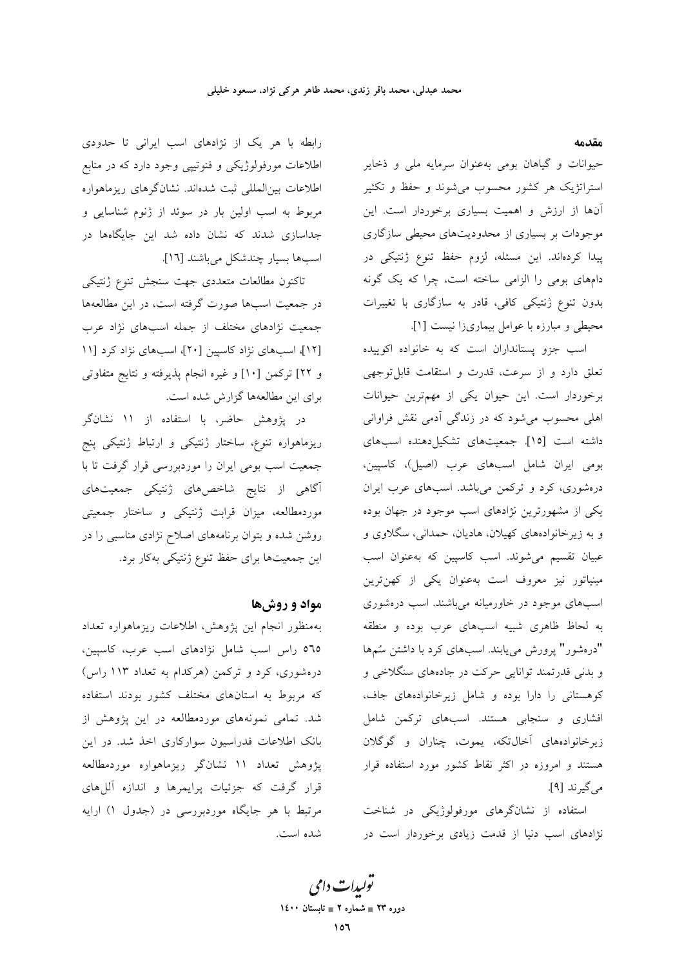مقدمه

حیوانات و گیاهان بومی بهعنوان سرمایه ملی و ذخایر استراتژیک هر کشور محسوب میشوند و حفظ و تکثیر آنها از ارزش و اهمیت بسیاری برخوردار است. این موجودات بر بسیاری از محدودیتهای محیطی سازگاری پیدا کردهاند. این مسئله، لزوم حفظ تنوع ژنتیکی در دامهای بومی را الزامی ساخته است، چرا که یک گونه بدون تنوع ژنتیکی کافی، قادر به سازگاری با تغییرات محیطی و مبارزه با عوامل بیماریزا نیست [۱].

اسب جزو پستانداران است که به خانواده اکوییده تعلق دارد و از سرعت، قدرت و استقامت قابل توجهي برخوردار است. این حیوان یکی از مهمترین حیوانات اهلی محسوب میشود که در زندگی آدمی نقش فراوانی داشته است [١٥]. جمعیتهای تشکیل دهنده اسبهای بومي ايران شامل اسبهاى عرب (اصيل)، كاسپين، درهشوری، کرد و ترکمن میباشد. اسبهای عرب ایران یکی از مشهورترین نژادهای اسب موجود در جهان بوده و به زیرخانوادههای کهیلان، هادیان، حمدانی، سگلاوی و عبیان تقسیم میشوند. اسب کاسپین که بهعنوان اسب مینیاتور نیز معروف است بهعنوان یکی از کهنترین اسبهای موجود در خاورمیانه میباشند. اسب درهشوری به لحاظ ظاهري شبيه اسبهاي عرب بوده و منطقه "درهشور" پرورش می یابند. اسبهای کرد با داشتن سُمها و بدنی قدرتمند توانایی حرکت در جادههای سنگلاخی و کوهستانی را دارا بوده و شامل زیرخانوادههای جاف، افشاری و سنجابی هستند. اسبهای ترکمن شامل زیرخانوادههای آخالتکه، یموت، چناران و گوگلان هستند و امروزه در اکثر نقاط کشور مورد استفاده قرار می گیرند [۹].

استفاده از نشانگرهای مورفولوژیکی در شناخت نژادهای اسب دنیا از قدمت زیادی برخوردار است در

رابطه با هر یک از نژادهای اسب ایرانی تا حدودی اطلاعات مورفولوژیکی و فنوتیپی وجود دارد که در منابع اطلاعات بین|لمللی ثبت شدهاند. نشانگرهای ریزماهواره مربوط به اسب اولین بار در سوئد از ژنوم شناسایی و جداسازی شدند که نشان داده شد این جایگاهها در اسبها بسيار چندشكل مىباشند [١٦].

تاكنون مطالعات متعددى جهت سنجش تنوع ژنتيكي در جمعیت اسبها صورت گرفته است، در این مطالعهها جمعیت نژادهای مختلف از جمله اسبهای نژاد عرب [١٢]، اسبهای نژاد کاسپین [٢٠]، اسبهای نژاد کرد [١١ و ٢٢] تركمن [١٠] و غيره انجام پذيرفته و نتايج متفاوتي برای این مطالعهها گزارش شده است.

در پژوهش حاضر، با استفاده از ۱۱ نشانگر ریزماهواره تنوع، ساختار ژنتیکی و ارتباط ژنتیکی پنج جمعیت اسب بومی ایران را موردبررسی قرار گرفت تا با آگاهی از نتایج شاخصهای ژنتیکی جمعیتهای موردمطالعه، میزان قرابت ژنتیکی و ساختار جمعیتی روشن شده و بتوان برنامههای اصلاح نژادی مناسبی را در این جمعیتها برای حفظ تنوع ژنتیکی بهکار برد.

### مواد و روشها

بهمنظور انجام اين يژوهش، اطلاعات ريزماهواره تعداد ٥٦٥ راس اسب شامل نژادهای اسب عرب، كاسپين، درهشوری، کرد و ترکمن (هرکدام به تعداد ۱۱۳ راس) که مربوط به استانهای مختلف کشور بودند استفاده شد. تمامی نمونههای موردمطالعه در این پژوهش از بانک اطلاعات فدراسیون سوارکاری اخذ شد. در این پژوهش تعداد ۱۱ نشانگر ریزماهواره موردمطالعه قرار گرفت که جزئیات پرایمرها و اندازه آللهای مرتبط با هر جایگاه موردبررسی در (جدول ۱) ارایه شده است.

تو*لیدات دامی* دوره ۲۳ = شماره ۲ = تابستان ۱٤۰۰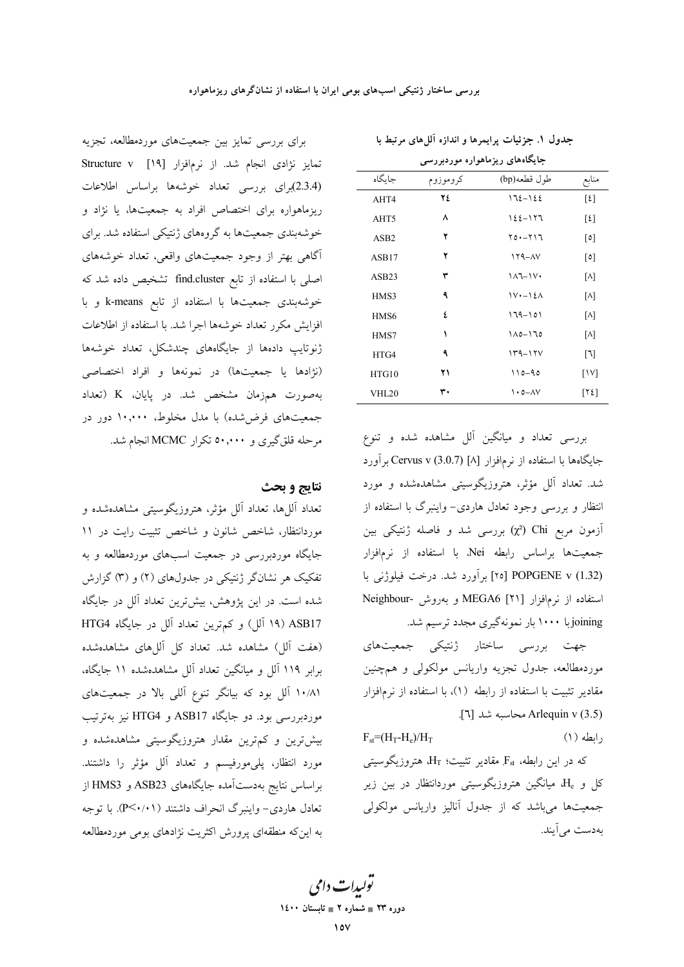| جایگاههای ریزماهواره موردبررسی |          |                                               |                             |  |  |  |  |
|--------------------------------|----------|-----------------------------------------------|-----------------------------|--|--|--|--|
| جاىگاه                         | كروموزوم | طول قطعه(bp)                                  | منابع                       |  |  |  |  |
| AHT4                           | ٢٤       | $172 - 122$                                   | $\lceil \mathcal{E} \rceil$ |  |  |  |  |
| AHT5                           | ۸        | 122-177                                       | $\lceil \mathcal{E} \rceil$ |  |  |  |  |
| ASB <sub>2</sub>               | ۲        | ۲۵۰-۲۱۶                                       | $\lceil 0 \rceil$           |  |  |  |  |
| ASB17                          | ۲        | $179 - \Delta V$                              | $\lceil 0 \rceil$           |  |  |  |  |
| ASB23                          | ٣        | $11 - 11$                                     | M                           |  |  |  |  |
| HMS3                           | ٩        | $\mathcal{W}$ + $\mathcal{N}$ + $\mathcal{N}$ | M                           |  |  |  |  |
| HMS6                           | ٤        | $179 - 101$                                   | M                           |  |  |  |  |
| HMS7                           | ١        | ۱۸۵-۱٦٥                                       | [V]                         |  |  |  |  |
| HTG4                           | ٩        | $149 - 170$                                   | $\lceil 1 \rceil$           |  |  |  |  |
| HTG10                          | ۲۱       | $110 - 90$                                    | $\lceil \mathcal{N} \rceil$ |  |  |  |  |
| VHL20                          | ۳۰       | $\lambda \cdot \Delta - \Delta V$             | [Y2]                        |  |  |  |  |

بررسی تعداد و میانگین آلل مشاهده شده و تنوع جایگاهها با استفاده از نرمافزار [۸] (Cervus v (3.0.7 برآورد شد. تعداد آلل مؤثر، هتروزیگوسیتی مشاهدهشده و مورد انتظار و بررسی وجود تعادل هاردی- واینبرگ با استفاده از آزمون مربع Chi (χ2) بررسی شد و فاصله ژنتیکی بین جمعیتها براساس رابطه Nei، با استفاده از نرمافزار POPGENE v (1.32) برآورد شد. درخت فیلوژنی با استفاده از نرمافزار [۲۱] MEGA6 و بهروش -Neighbour joiningبا ۱۰۰۰ بار نمونهگیری مجدد ترسیم شد.

جهت بررسی ساختار ژنتیکی جمعیتهای موردمطالعه، جدول تجزیه واریانس مولکولی و همچنین مقادیر تثبیت با استفاده از رابطه (۱)، با استفاده از نرمافزار Arlequin v (3.5) محاسبه شد [٦].

 $F_{\rm st} = (H_{\rm T} - H_{\rm s})/H_{\rm T}$  $(1)$  del,

که در این رابطه، Fst مقادیر تثبیت؛  $H_T$  هتروزیگوسیتی کل و ،H، میانگین هتروزیگوسیتی موردانتظار در بین زیر جمعیتها می باشد که از جدول آنالیز واریانس مولکولی بەدست مى آيند.

برای بررسی تمایز بین جمعیتهای موردمطالعه، تجزیه تمايز نژادى انجام شد. از نرمافزار [١٩] Structure v (2.3.4)براي بررسي تعداد خوشهها براساس اطلاعات ریزماهواره برای اختصاص افراد به جمعیتها، یا نژاد و خوشهبندی جمعیتها به گروههای ژنتیکی استفاده شد. برای آگاهی بهتر از وجود جمعیتهای واقعی، تعداد خوشههای اصلی با استفاده از تابع find.cluster تشخیص داده شد که خوشهبندی جمعیتها با استفاده از تابع k-means و با افزایش مکرر تعداد خوشهها اجرا شد. با استفاده از اطلاعات ژنوتایپ دادهها از جایگاههای چندشکل، تعداد خوشهها (نژادها یا جمعیتها) در نمونهها و افراد اختصاصی بهصورت همزمان مشخص شد. در پایان، K (تعداد جمعیتهای فرضشده) با مدل مخلوط، ۱۰٫۰۰۰ دور در مرحله قلق گیری و ۵۰٫۰۰۰ تکرار MCMC انجام شد.

## نتايج و بحث

تعداد اَللها، تعداد اَلل مؤثر، هتروزیگوسیتی مشاهدهشده و موردانتظار، شاخص شانون و شاخص تثبیت رایت در ۱۱ جایگاه موردبررسی در جمعیت اسبهای موردمطالعه و به تفکیک هر نشانگر ژنتیکی در جدولهای (۲) و (۳) گزارش شده است. در این پژوهش، بیشترین تعداد آلل در جایگاه 14) ASB17 (١٩ آلل) و كم ترين تعداد آلل در جايگاه HTG4 (هفت آلل) مشاهده شد. تعداد کل آللهای مشاهدهشده برابر ۱۱۹ آلل و میانگین تعداد آلل مشاهدهشده ۱۱ جایگاه، ۰/۸۱ آلل بود که بیانگر تنوع آللی بالا در جمعیتهای موردبررسی بود. دو جایگاه ASB17 و HTG4 نیز بهترتیب بیش ترین و کم ترین مقدار هتروزیگوسیتی مشاهدهشده و مورد انتظار، پلیمورفیسم و تعداد آلل مؤثر را داشتند. براساس نتايج بهدستآمده جايگاههای ASB23 و HMS3 از تعادل هاردی- واینبرگ انحراف داشتند (P<۰/۰۱). با توجه به این که منطقهای پرورش اکثریت نژادهای بومی موردمطالعه

يولېدا**ت** دامې دوره ۲۳ = شماره ۲ = تابستان ۱٤۰۰

جدول ۱. جزئیات پرایمرها و اندازه آللهای مرتبط با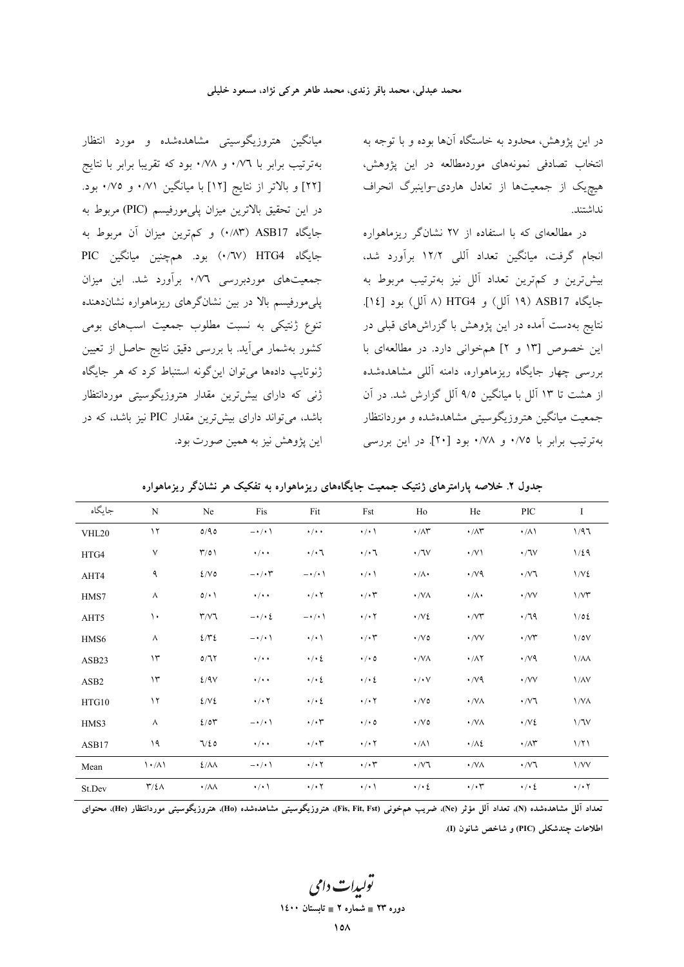در این پژوهش، محدود به خاستگاه آنها بوده و با توجه به انتخاب تصادفی نمونههای موردمطالعه در این پژوهش، هیچیک از جمعیتها از تعادل هاردی-واینبرگ انحراف نداشتند.

در مطالعهای که با استفاده از ۲۷ نشانگر ریزماهواره انجام گرفت، میانگین تعداد آللی ۱۲/۲ برآورد شد، بیش ترین و کم ترین تعداد آلل نیز بهترتیب مربوط به جايگاه ASB17 (١٩ آلل) و HTG4 (٨ آلل) بود [١٤]. نتایج بهدست آمده در این پژوهش با گزراشهای قبلی در این خصوص [۱۳ و ۲] همخوانی دارد. در مطالعهای با بررسی چهار جایگاه ریزماهواره، دامنه آللی مشاهدهشده از هشت تا ۱۳ آلل با میانگین ۹/۵ آلل گزارش شد. در آن جمعیت میانگین هتروزیگوسیتی مشاهدهشده و موردانتظار بهترتيب برابر با ٠/٧٥ و ٠/٧٨ بود [٢٠]. در اين بررسي

میانگین هتروزیگوسیتی مشاهدهشده و مورد انتظار بهترتیب برابر با ۰/۷٦ و ۰/۷۸ بود که تقریبا برابر با نتایج [٢٢] و بالاتر از نتايج [١٢] با ميانگين ٠/٧١ و ٠/٧٥ بود. در اين تحقيق بالاترين ميزان پلي مورفيسم (PIC) مربوط به جايگاه ASB17 (١٨٣) و كمترين ميزان آن مربوط به جايگاه HTG4 (٠/٦٧) بود. همچنين ميانگين PIC جمعیتهای موردبررسی ۰/۷٦ برآورد شد. این میزان پلیمورفیسم بالا در بین نشانگرهای ریزماهواره نشاندهنده تنوع ژنتیکی به نسبت مطلوب جمعیت اسبهای بومی کشور بهشمار می آید. با بررسی دقیق نتایج حاصل از تعیین ژنوتایپ دادهها می توان این گونه استنباط کرد که هر جایگاه ژنی که دارای بیشترین مقدار هتروزیگوسیتی موردانتظار باشد، می تواند دارای بیش ترین مقدار PIC نیز باشد، که در این پژوهش نیز به همین صورت بود.

|  |  |  | جدول ۲. خلاصه پارامترهای ژنتیک جمعیت جایگاههای ریزماهواره به تفکیک هر نشانگر ریزماهواره |
|--|--|--|-----------------------------------------------------------------------------------------|
|--|--|--|-----------------------------------------------------------------------------------------|

| جايگاه           | N                                 | Ne                     | Fis                         | Fit                       | Fst                       | Ho                                | He                                 | <b>PIC</b>                  | I                         |
|------------------|-----------------------------------|------------------------|-----------------------------|---------------------------|---------------------------|-----------------------------------|------------------------------------|-----------------------------|---------------------------|
| VHL20            | $\gamma$                          | 0/90                   | $-\cdot/ \cdot \cdot$       | $\cdot$ / $\cdot$ $\cdot$ | $\cdot$ / $\cdot$ \       | $\cdot/\wedge\hspace{-0.6mm}\tau$ | $\cdot/\wedge\hspace{-0.15cm}\tau$ | $\cdot/\Lambda$             | 1/97                      |
| HTG4             | $\vee$                            | $\Gamma/0$             | $\cdot$ / $\cdot$ $\cdot$   | $\cdot/\cdot$ \           | $\cdot/\cdot$             | $\cdot$ /lv                       | $\cdot$ /V)                        | $\cdot$ / $\sqrt{v}$        | 1/29                      |
| AHT4             | ٩                                 | 2/V                    | $-\cdot/\cdot$ $\mathsf{r}$ | $-\cdot/\cdot$            | $\cdot$ / $\cdot$ \       | $\cdot/\Lambda$                   | $\cdot$ / $\vee$ 9                 | $\cdot$ / $\vee$ $\uparrow$ | 1/V                       |
| HMS7             | $\wedge$                          | 0/1                    | $\cdot$ / $\cdot$ $\cdot$   | $\cdot$ / $\cdot$ $\cdot$ | $\cdot/\cdot$ ۳           | $\cdot$ /VA                       | $\cdot/\wedge\cdot$                | $\cdot$ /VV                 | 1/VT                      |
| AHT5             | $\mathcal{L}$                     | $\Upsilon/V$ ٦         | $-\cdot/\cdot\zeta$         | $-\cdot/\cdot$            | $\cdot$ / $\cdot$ $\cdot$ | $\cdot$ /V $\epsilon$             | $\cdot$ / $\vee\tau$               | $\cdot$ /79                 | 1/02                      |
| HMS6             | Λ                                 | 272                    | $-\cdot/\cdot$ \            | $\cdot/\cdot$ \           | $\cdot/\cdot$ ۳           | $\cdot$ / $\vee$ 0                | $\cdot$ /VV                        | $\cdot$ / $\vee\!\Upsilon$  | $1/\circ V$               |
| ASB23            | $\gamma$                          | 0/77                   | $\cdot$ / $\cdot$ $\cdot$   | $\cdot/\cdot\,$           | $\cdot$ / $\cdot$ 0       | $\cdot$ /VA                       | $\cdot/\lambda\Upsilon$            | $\cdot$ /v٩                 | $1/\lambda\lambda$        |
| ASB <sub>2</sub> | $\gamma$                          | 2/9V                   | $\cdot$ / $\cdot$ +         | $\cdot$ / $\cdot$ {       | $\cdot$ / $\cdot$ {       | $\cdot/\cdot\vee$                 | $\cdot$ / $\vee$ 9                 | $\cdot$ /VV                 | $1/\lambda V$             |
| HTG10            | $\gamma$                          | 2/V                    | $\cdot$ / $\cdot$ $\cdot$   | $\cdot/\cdot\,$           | $\cdot$ / $\cdot$ $\cdot$ | $\cdot$ / $\vee$ 0                | $\cdot$ /VA                        | $\cdot$ / $\vee$ ٦          | 1/N <sub>A</sub>          |
| HMS3             | Λ                                 | 2/07                   | $-\cdot/\cdot$ \            | $\cdot/\cdot7$            | $\cdot$ / $\cdot$ 0       | $\cdot$ / $\vee$ 0                | $\cdot$ /VA                        | $\cdot$ /V {                | 1/7V                      |
| ASB17            | ۱۹                                | 7/20                   | $\cdot$ / $\cdot$ $\cdot$   | $\cdot/\cdot$ ۳           | $\cdot$ / $\cdot$ $\cdot$ | $\cdot/\lambda$                   | $\cdot/\lambda$                    | $\cdot/\wedge\Upsilon$      | 1/71                      |
| Mean             | $\langle \cdot / \Lambda \rangle$ | $2/\lambda\lambda$     | $-\cdot/\cdot$              | $\cdot$ / $\cdot$ $\cdot$ | $\cdot/\cdot$ ۳           | $\cdot$ / $\vee$ ٦                | $\cdot$ /VA                        | $\cdot$ / $\vee$ $\uparrow$ | 1/VV                      |
| St.Dev           | $\Upsilon/\Sigma\Lambda$          | $\cdot/\lambda\lambda$ | $\cdot$ / $\cdot$ \         | $\cdot$ / $\cdot$ $\cdot$ | $\cdot$ / $\cdot$ \       | $\cdot$ / $\cdot$ 2               | $\cdot/\cdot$ ۳                    | $\cdot$ / $\cdot$ {         | $\cdot$ / $\cdot$ $\cdot$ |

تعداد آلل مشاهدهشده (N)، تعداد آلل مؤثر (Ne)، ضريب همخوني (Fis, Fit, Fst)، هتروزيگوسيتي مشاهدهشده (He)، هتروزيگوسيتي موردانتظار (He)، محتواي اطلاعات جندشكلي (PIC) و شاخص شانون (I).

تولېدا**ت** دامې

دوره ۲۳ = شماره ۲ = تابستان ۱٤۰۰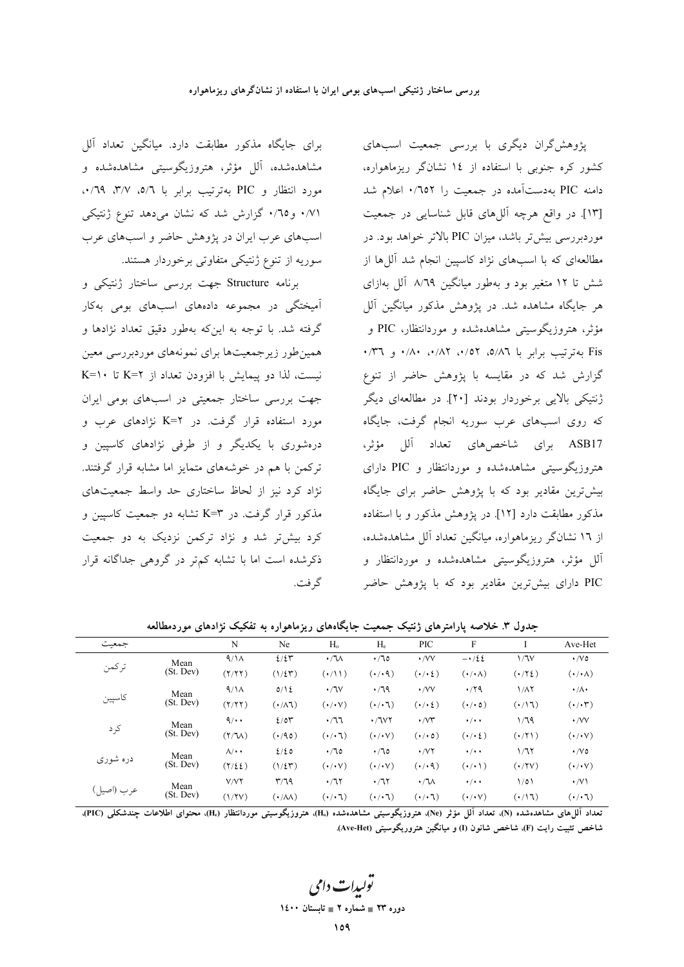برای جایگاه مذکور مطابقت دارد. میانگین تعداد آلل مشاهدهشده، ألل مؤثر، هتروزيگوسيتي مشاهدهشده و مورد انتظار و PIC بهترتیب برابر با ٥/٦، ٣/٧، ٠/٦٩، ۰/۷۱ و ۰/۱۵ گزارش شد که نشان می دهد تنوع ژنتیکی اسبهای عرب ایران در پژوهش حاضر و اسبهای عرب سوریه از تنوع ژنتیکی متفاوتی برخوردار هستند.

برنامه Structure جهت بررسی ساختار ژنتیکی و آمیختگی در مجموعه دادههای اسبهای بومی بهکار گرفته شد. با توجه به اینکه بهطور دقیق تعداد نژادها و همین طور زیرجمعیتها برای نمونههای موردبررسی معین نیست، لذا دو پیمایش با افزودن تعداد از K=۲ تا K=۱۰ جهت بررسی ساختار جمعیتی در اسبهای بومی ایران مورد استفاده قرار گرفت. در K=۲ نژادهای عرب و درهشوری با یکدیگر و از طرفی نژادهای کاسپین و ترکمن با هم در خوشههای متمایز اما مشابه قرار گرفتند. نژاد کرد نیز از لحاظ ساختاری حد واسط جمعیتهای مذکور قرار گرفت. در K=۳ تشابه دو جمعیت کاسپین و کرد بیش تر شد و نژاد ترکمن نزدیک به دو جمعیت ذکرشده است اما با تشابه کمتر در گروهی جداگانه قرار گر فت.

پژوهش گران دیگری با بررسی جمعیت اسبهای کشور کره جنوبی با استفاده از ١٤ نشانگر ریزماهواره، دامنه PIC بهدستآمده در جمعیت را ۰/٦٥٢ اعلام شد [١٣]. در واقع هرچه آللهای قابل شناسایی در جمعیت موردبررسی بیش تر باشد، میزان PIC بالاتر خواهد بود. در مطالعهای که با اسبهای نژاد کاسپین انجام شد آللها از شش تا ۱۲ متغیر بود و بهطور میانگین ۸/٦۹ آلل بهازای هر جایگاه مشاهده شد. در پژوهش مذکور میانگین آلل مؤثر، هتروزیگوسیتی مشاهدهشده و موردانتظار، PIC و Fis به ترتیب برابر با ۵/۸٦، ۰/۵۲، ۸۲، ۰/۸۰ و ۰/۳٦. گزارش شد که در مقایسه با پژوهش حاضر از تنوع ژنتیکی بالایی برخوردار بودند [۲۰] در مطالعهای دیگر که روی اسبهای عرب سوریه انجام گرفت، جایگاه ASB17 برای شاخصهای تعداد آلل مؤثر، هتروزیگوسیتی مشاهدهشده و موردانتظار و PIC دارای بیش ترین مقادیر بود که با پژوهش حاضر برای جایگاه مذکور مطابقت دارد [۱۲]. در یژوهش مذکور و با استفاده از ۱۲ نشانگر ریزماهواره، میانگین تعداد آلل مشاهدهشده، آلل مؤثر، هتروزیگوسیتی مشاهدهشده و موردانتظار و PIC دارای بیشترین مقادیر بود که با پژوهش حاضر

| جمعت       |                   | N                         | Ne                       | H <sub>o</sub>       | $H_e$                      | PIC                             | $\mathbf F$                                                        |                      | Ave-Het                |
|------------|-------------------|---------------------------|--------------------------|----------------------|----------------------------|---------------------------------|--------------------------------------------------------------------|----------------------|------------------------|
| تركمن      | Mean              | 9/1 <sub>A</sub>          | 2/2r                     | $\cdot / \sqrt{ }$   | $\cdot$ / 70               | $\cdot$ /VV                     | $-\cdot/22$                                                        | 1/7V                 | $\cdot$ /V o           |
|            | (St. Dev)         | (Y/YY)                    | $(1/\xi \mathbf{r})$     | $( \cdot / 1 )$      | $(\cdot/\cdot \mathsf{q})$ | $(\cdot/\cdot\, \hat{\iota}\,)$ | $(\cdot/\cdot \wedge)$                                             | $(\cdot \wedge \xi)$ | $(\cdot/\cdot \wedge)$ |
|            | Mean              | 9/1 <sub>A</sub>          | $0/\sqrt{2}$             | $\cdot$ /JV          | $\cdot$ /79                | $\cdot$ /VV                     | .79                                                                | ۱/۸۲                 | $\cdot/\Lambda$        |
| كاسپين     | (St. Dev)         | (Y/YY)                    | $(\cdot/\lambda)$        | $(\cdot/\cdot \vee)$ | $(\cdot/\cdot 7)$          | $(\cdot/\cdot\, \xi)$           | $(\cdot/\cdot \circ)$                                              | $(1/\sqrt{2})$       | $(\cdot/\cdot 7)$      |
|            | Mean              | $\mathcal{A}/\cdot \cdot$ | 2/04                     | $\cdot$ /77          | $\cdot$ / 1 $V$ ۲          | $\cdot$ / $\vee\tau$            | $\cdot$ / $\cdot$ +                                                | 1/79                 | $\cdot$ /VV            |
| كرد        | (St. Dev)         | $(Y/T_A)$                 | $( \cdot \wedge \circ )$ | $(\cdot/\cdot 7)$    | $(\cdot/\cdot \vee)$       | $(\cdot/\cdot \circ)$           | $(\boldsymbol{\cdot}/\boldsymbol{\cdot}\boldsymbol{\mathfrak{c}})$ | $(\cdot/\Upsilon)$   | $(\cdot/\cdot \vee)$   |
| دره شوری   | Mean<br>(St. Dev) | $\Lambda/\cdot \cdot$     | 2/20                     | $\cdot$ /10          | $\cdot/70$                 | $\cdot$ / $\vee$ $\vee$         | $\cdot$ / $\cdot$ +                                                | ۱/٦۲                 | $\cdot$ /V o           |
|            |                   | $(Y/\xi \xi)$             | $(1/\xi \mathcal{F})$    | $(\cdot/\cdot \vee)$ | $(\cdot/\cdot \vee)$       | $(\cdot/\cdot \mathsf{q})$      | $(\cdot/\cdot)$                                                    | $(\cdot$ /۲۷)        | $(\cdot/\cdot \vee)$   |
| عرب (اصيل) | Mean<br>(St. Dev) | V/YY                      | $\mathsf{r}/\mathsf{r}$  | $\cdot$ /77          | $\cdot$ /٦٢                | $\cdot / \sqrt{}$               | $\cdot$ / $\cdot$ +                                                | 1/01                 | $\cdot$ /V \           |
|            |                   | (1/7V)                    | $(\cdot/\lambda\lambda)$ | $(\cdot/\cdot7)$     | $(\cdot/\cdot 7)$          | $(\cdot/\cdot 7)$               | $(\cdot/\cdot \vee)$                                               | $(1/\sqrt{2})$       | $(\cdot/\cdot7)$       |

جدول ۳. خلاصه یارامترهای ژنتیک جمعیت جایگاههای ریزماهواره به تفکیک نژادهای موردمطالعه

تعداد آلما های مشاهدهشده (N)، تعداد آلل مؤثر (Ne)، هتروزیگوسش مشاهدهشده (H<sub>0</sub>)، هتروزیگوسش موردانتظار (H<sub>0</sub>)، محتوای اطلاعات حندشکلی (PIC) شاخص تثبیت رایت (F)، شاخص شانون (I) و میانگین هتروریگوسیتی (Ave-Het).

دوره ۲۳ = شماره ۲ = تابستان ۱٤۰۰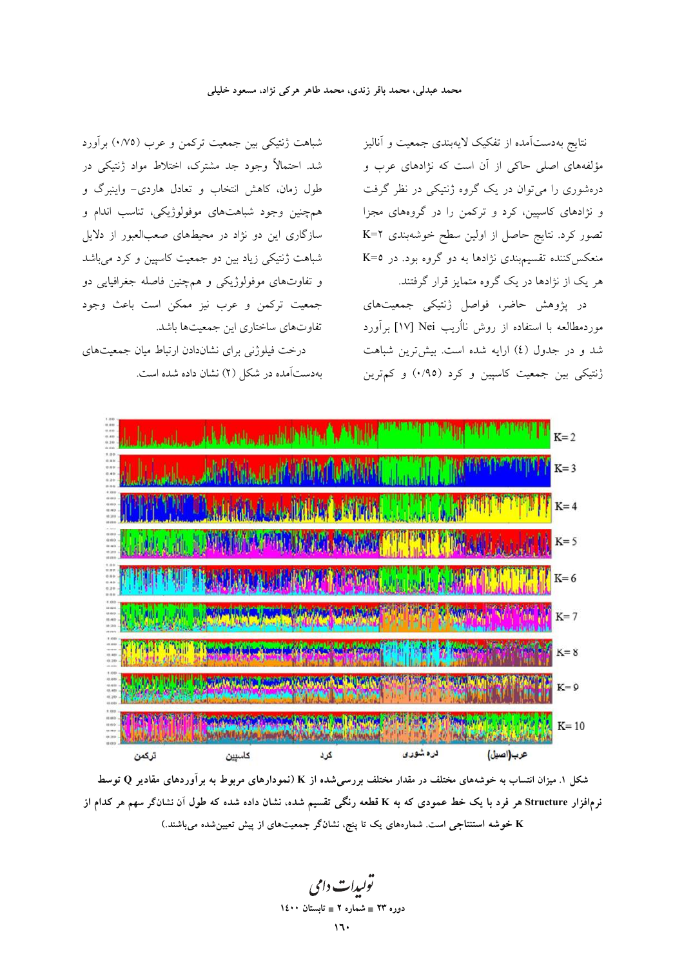### محمد عبدلی، محمد باقر زندی، محمد طاهر هرکی نژاد، مسعود خلیلی

شباهت ژنتیکی بین جمعیت ترکمن و عرب (۰/۷۵) برآورد شد. احتمالاً وجود جد مشترک، اختلاط مواد ژنتیکی در طول زمان، كاهش انتخاب و تعادل هاردي- واينبرگ و همچنین وجود شباهتهای موفولوژیکی، تناسب اندام و سازگاری این دو نژاد در محیطهای صعبالعبور از دلایل شباهت ژنتیکی زیاد بین دو جمعیت کاسپین و کرد میباشد و تفاوتهای موفولوژیکی و همچنین فاصله جغرافیایی دو جمعیت ترکمن و عرب نیز ممکن است باعث وجود تفاوتهای ساختاری این جمعیتها باشد.

درخت فیلوژنی برای نشاندادن ارتباط میان جمعیتهای بهدستآمده در شکل (٢) نشان داده شده است. نتايج بهدستآمده از تفكيك لايهبندى جمعيت و أناليز مؤلفههای اصلی حاکی از آن است که نژادهای عرب و درهشوری را می توان در یک گروه ژنتیکی در نظر گرفت و نژادهای کاسپین، کرد و ترکمن را در گروههای مجزا تصور کرد. نتایج حاصل از اولین سطح خوشهبندی K=۲ منعکس کننده تقسیم بندی نژادها به دو گروه بود. در 2=K هر یک از نژادها در یک گروه متمایز قرار گرفتند.

در پژوهش حاضر، فواصل ژنتیکی جمعیتهای موردمطالعه با استفاده از روش نااُریب Nei [۱۷] برآورد شد و در جدول (٤) ارایه شده است. بیشتررین شباهت ژنتیکی بین جمعیت کاسپین و کرد (۰/۹٥) و کم ترین



شکل ۱. میزان انتساب به خوشههای مختلف در مقدار مختلف بررسی شده از K (نمودارهای مربوط به برآوردهای مقادیر Q توسط نرمافزار Structure هر فرد با یک خط عمودی که به K قطعه رنگی تقسیم شده، نشان داده شده که طول آن نشانگر سهم هر کدام از خوشه استنتاجی است. شمارههای یک تا پنج، نشانگر جمعیتهای از پیش تعیین شده میباشند.)

يو<u>لېدات</u> دامې دوره ۲۳ = شماره ۲ = تابستان ۱٤۰۰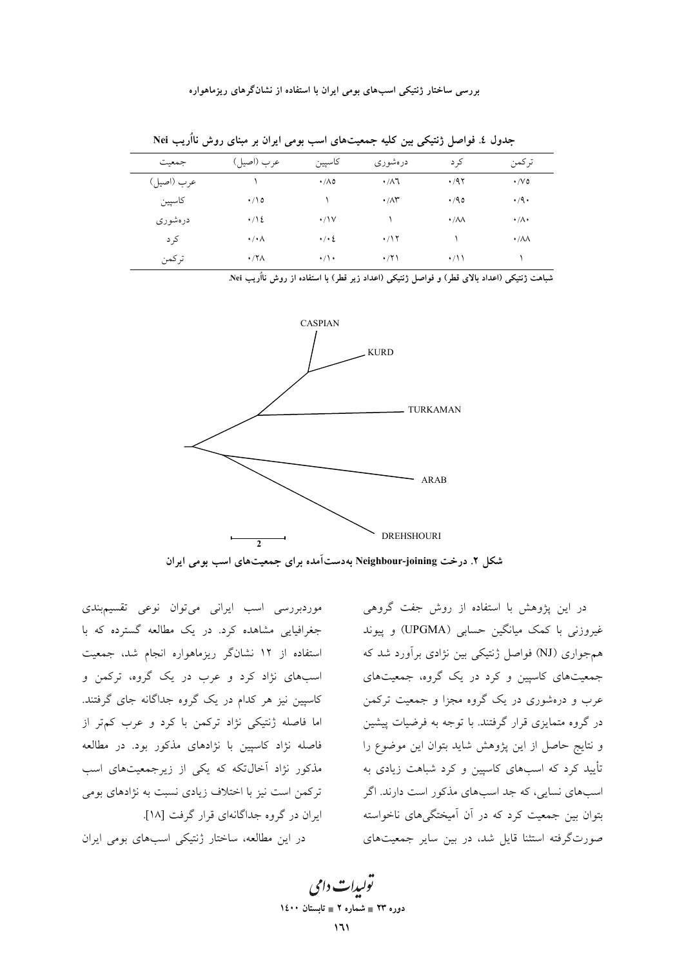| .<br>--<br>-<br>-<br><i>-</i><br>---<br>_<br>.<br>$\tilde{\phantom{a}}$ |                      |                     |                            |                        |                        |  |  |  |
|-------------------------------------------------------------------------|----------------------|---------------------|----------------------------|------------------------|------------------------|--|--|--|
| جمعيت                                                                   | عرب (اصيل)           | كاسپين              | درەشورى                    | کر د                   | تركمن                  |  |  |  |
| عرب (اصيل)                                                              |                      | $\cdot/\Lambda$ 0   | $\cdot/\lambda$ ٦          | .47                    | $\cdot$ / $\vee$ 0     |  |  |  |
| كاسپين                                                                  | $\cdot/2$            |                     | $\cdot$ / $\wedge\uparrow$ | .40                    | $\cdot$ /9 $\cdot$     |  |  |  |
| درەشورى                                                                 | $\cdot$ / \ {        | $\cdot$ /\V         |                            | $\cdot/\lambda\lambda$ | $\cdot/\wedge\cdot$    |  |  |  |
| کر د                                                                    | $\cdot/\cdot \wedge$ | $\cdot$ / $\cdot$ 2 | $\cdot$ /17                |                        | $\cdot/\lambda\lambda$ |  |  |  |
| تركمن                                                                   | $\cdot$ /۲ $\wedge$  | $\cdot/\cdot$       | $\cdot$ /۲۱                | $\cdot/11$             |                        |  |  |  |

جدول ٤. فواصل ژنتیکی بین کلیه جمعیتهای اسب بومی ایران بر مینای روش نااُریب Nei

شباهت ژنتیکی (اعداد بالای قطر) و فواصل ژنتیکی (اعداد زیر قطر) با استفاده از روش نااُریب Nei.



شکل ۲. درخت Neighbour-joining بهدست آمده برای جمعیتهای اسب بومی ایران

موردبررسی اسب ایرانی میتوان نوعی تقسیمبندی جغرافیایی مشاهده کرد. در یک مطالعه گسترده که با استفاده از ۱۲ نشانگر ریزماهواره انجام شد، جمعیت اسبهای نژاد کرد و عرب در یک گروه، ترکمن و کاسپین نیز هر کدام در یک گروه جداگانه جای گرفتند. اما فاصله ژنتیکی نژاد ترکمن با کرد و عرب کمتر از فاصله نژاد کاسپین با نژادهای مذکور بود. در مطالعه مذکور نژاد آخالتکه که یکی از زیرجمعیتهای اسب ترکمن است نیز با اختلاف زیادی نسبت به نژادهای بومی ایران در گروه جداگانهای قرار گرفت [۱۸]. در این مطالعه، ساختار ژنتیکی اسبهای بومی ایران

در این پژوهش با استفاده از روش جفت گروهی غیروزنی با کمک میانگین حسابی (UPGMA) و پیوند همجواری (NJ) فواصل ژنتیکی بین نژادی برآورد شد که جمعیتهای کاسیین و کرد در یک گروه، جمعیتهای عرب و درهشوری در یک گروه مجزا و جمعیت ترکمن در گروه متمایزی قرار گرفتند. با توجه به فرضیات پیشین و نتایج حاصل از این پژوهش شاید بتوان این موضوع را تأیید کرد که اسبهای کاسپین و کرد شباهت زیادی به اسبهای نسایی، که جد اسبهای مذکور است دارند. اگر بتوان بین جمعیت کرد که در آن آمیختگیهای ناخواسته صورتگرفته استثنا قایل شد، در بین سایر جمعیتهای

تو*لیدات دامی* دوره ۲۳ = شماره ۲ = تابستان ۱٤۰۰  $\mathcal{M}$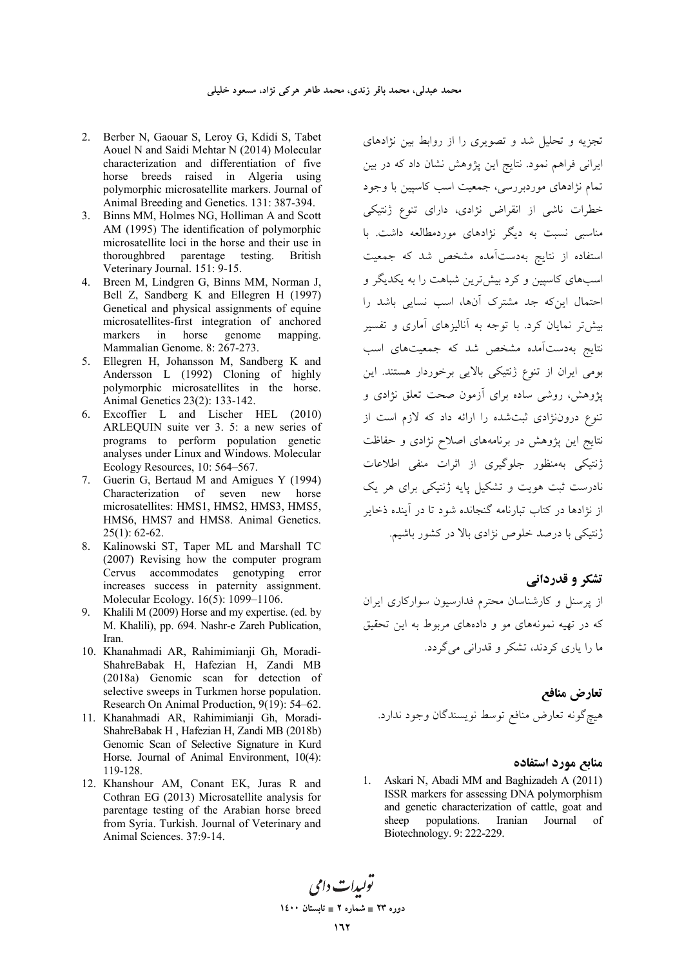- 2. Berber N, Gaouar S, Leroy G, Kdidi S, Tabet Aouel N and Saidi Mehtar N (2014) Molecular characterization and differentiation of five horse breeds raised in Algeria using polymorphic microsatellite markers. Journal of Animal Breeding and Genetics. 131: 387-394.
- 3. Binns MM, Holmes NG, Holliman A and Scott AM (1995) The identification of polymorphic microsatellite loci in the horse and their use in thoroughbred parentage testing. British Veterinary Journal. 151: 9-15.
- 4. Breen M, Lindgren G, Binns MM, Norman J, Bell Z, Sandberg K and Ellegren H (1997) Genetical and physical assignments of equine microsatellites-first integration of anchored markers in horse genome mapping. Mammalian Genome. 8: 267-273.
- 5. Ellegren H, Johansson M, Sandberg K and Andersson L (1992) Cloning of highly polymorphic microsatellites in the horse. Animal Genetics 23(2): 133-142.
- 6. Excoffier L and Lischer HEL (2010) ARLEQUIN suite ver 3. 5: a new series of programs to perform population genetic analyses under Linux and Windows. Molecular Ecology Resources, 10: 564–567.
- 7. Guerin G, Bertaud M and Amigues Y (1994) Characterization of seven new horse microsatellites: HMS1, HMS2, HMS3, HMS5, HMS6, HMS7 and HMS8. Animal Genetics. 25(1): 62-62.
- 8. Kalinowski ST, Taper ML and Marshall TC (2007) Revising how the computer program Cervus accommodates genotyping error increases success in paternity assignment. Molecular Ecology. 16(5): 1099–1106.
- 9. Khalili M (2009) Horse and my expertise. (ed. by M. Khalili), pp. 694. Nashr-e Zareh Publication, Iran.
- 10. Khanahmadi AR, Rahimimianji Gh, Moradi-ShahreBabak H, Hafezian H, Zandi MB (2018a) Genomic scan for detection of selective sweeps in Turkmen horse population. Research On Animal Production, 9(19): 54–62.
- 11. Khanahmadi AR, Rahimimianji Gh, Moradi-ShahreBabak H , Hafezian H, Zandi MB (2018b) Genomic Scan of Selective Signature in Kurd Horse. Journal of Animal Environment, 10(4): 119-128.
- 12. Khanshour AM, Conant EK, Juras R and Cothran EG (2013) Microsatellite analysis for parentage testing of the Arabian horse breed from Syria. Turkish. Journal of Veterinary and Animal Sciences. 37:9-14.

نجزیه و تحلیل شد و تصویری را از روابط بین نژادهای برانی فراهم نمود. نتایج این پژوهش نشان داد که در بین  $\overline{\phantom{a}}$ تمام نژادهای موردبررسی، جمعیت اسب کاسپین با وجود خطرات ناشی از انقراض نژادی، دارای تنوع ژنتیکی مناسبی نسبت به دیگر نژادهای موردمطالعه داشت. با ستفاده از نتایج بهدستآمده مشخص شد که جمعیت سبهای کاسپین و کرد بیشترین شباهت را به یکدیگر و حتمال اینکه جد مشترک آنها، اسب نسایی باشد را بیش تر نمایان کرد. با توجه به آنالیزهای آماری و تفسیر نتایج بهدستآمده مشخص شد که جمعیتهای اسب بومی ایران از تنوع ژنتیکی بالایی برخوردار هستند. این یژوهش، روشی ساده برای آزمون صحت تعلق نژادی و تنوع دروننژادی ثبتشده را ارائه داد که لازم است از نتایج این پژوهش در برنامههای اصلاح نژادی و حفاظت ژنتیکی بهمنظور جلوگیری از اثرات منفی اطلاعات نادرست ثبت هویت و تشکیل پایه ژنتیکی برای هر یک ز نژادها در کتاب تبارنامه گنجانده شود تا در آینده ذخایر ژنتیکی با درصد خلوص نژادی بالا در کشور باشیم.

**تشکر و قدردانی** 

ز پرسنل و کارشناسان محترم فدارسیون سوارکاری ایران که در تهیه نمونههای مو و دادههای مربوط به این تحقیق ما را یاری کردند، تشکر و قدرانی میگردد.

تعارض مناف*ع* هيچگونه تعارض منافع توسط نويسندگان وجود ندارد.

### **منایع مورد استفاده**

1. Askari N, Abadi MM and Baghizadeh A (2011) ISSR markers for assessing DNA polymorphism and genetic characterization of cattle, goat and sheep populations. Iranian Journal of Biotechnology. 9: 222-229.

يولېدا**ت** دامې **1400 2 - 23 -**